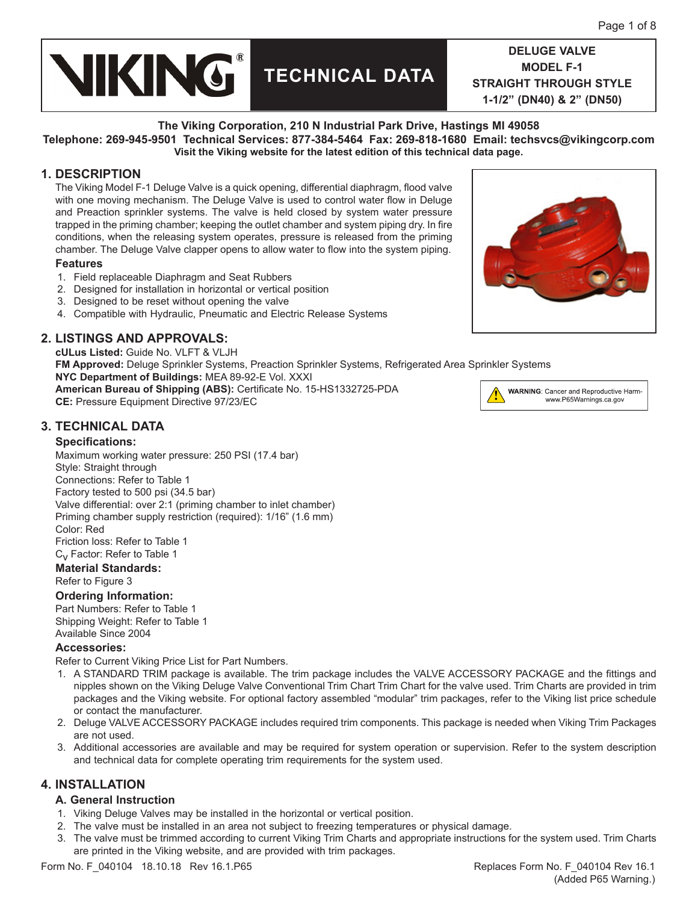

#### **The Viking Corporation, 210 N Industrial Park Drive, Hastings MI 49058**

**Telephone: 269-945-9501 Technical Services: 877-384-5464 Fax: 269-818-1680 Email: techsvcs@vikingcorp.com Visit the Viking website for the latest edition of this technical data page.**

## **1. DESCRIPTION**

The Viking Model F-1 Deluge Valve is a quick opening, differential diaphragm, flood valve with one moving mechanism. The Deluge Valve is used to control water flow in Deluge and Preaction sprinkler systems. The valve is held closed by system water pressure trapped in the priming chamber; keeping the outlet chamber and system piping dry. In fire conditions, when the releasing system operates, pressure is released from the priming chamber. The Deluge Valve clapper opens to allow water to flow into the system piping.

#### **Features**

- 1. Field replaceable Diaphragm and Seat Rubbers
- 2. Designed for installation in horizontal or vertical position
- 3. Designed to be reset without opening the valve
- 4. Compatible with Hydraulic, Pneumatic and Electric Release Systems

## **2. LISTINGS AND APPROVALS:**

**cULus Listed:** Guide No. VLFT & VLJH **FM Approved:** Deluge Sprinkler Systems, Preaction Sprinkler Systems, Refrigerated Area Sprinkler Systems **NYC Department of Buildings:** MEA 89-92-E Vol. XXXI **American Bureau of Shipping (ABS):** Certificate No. 15-HS1332725-PDA **CE:** Pressure Equipment Directive 97/23/EC <u>:</u>

## **3. TECHNICAL DATA**

#### **Specifications:**

Maximum working water pressure: 250 PSI (17.4 bar) Style: Straight through Connections: Refer to Table 1 Factory tested to 500 psi (34.5 bar) Valve differential: over 2:1 (priming chamber to inlet chamber) Priming chamber supply restriction (required): 1/16" (1.6 mm) Color: Red Friction loss: Refer to Table 1

C<sub>v</sub> Factor: Refer to Table 1

## **Material Standards:**

Refer to Figure 3

### **Ordering Information:**

Part Numbers: Refer to Table 1 Shipping Weight: Refer to Table 1 Available Since 2004

#### **Accessories:**

Refer to Current Viking Price List for Part Numbers.

- 1. A STANDARD TRIM package is available. The trim package includes the VALVE ACCESSORY PACKAGE and the fittings and nipples shown on the Viking Deluge Valve Conventional Trim Chart Trim Chart for the valve used. Trim Charts are provided in trim packages and the Viking website. For optional factory assembled "modular" trim packages, refer to the Viking list price schedule or contact the manufacturer.
- 2. Deluge VALVE ACCESSORY PACKAGE includes required trim components. This package is needed when Viking Trim Packages are not used.
- 3. Additional accessories are available and may be required for system operation or supervision. Refer to the system description and technical data for complete operating trim requirements for the system used.

## **4. INSTALLATION**

#### **A. General Instruction**

- 1. Viking Deluge Valves may be installed in the horizontal or vertical position.
- 2. The valve must be installed in an area not subject to freezing temperatures or physical damage.
- 3. The valve must be trimmed according to current Viking Trim Charts and appropriate instructions for the system used. Trim Charts are printed in the Viking website, and are provided with trim packages.



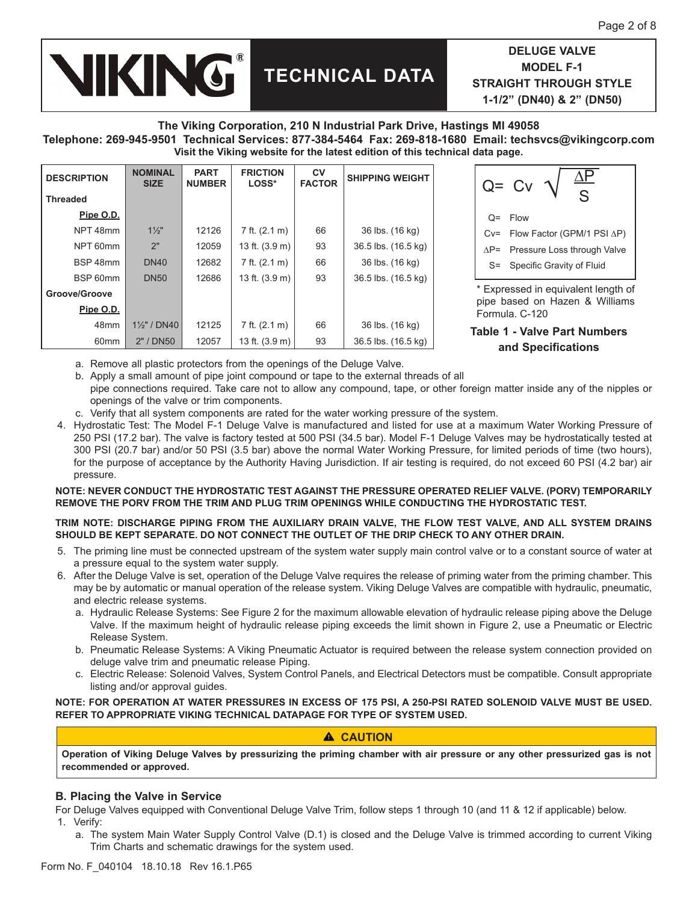# **TECHNICAL DATA**

**DELUGE VALVE MODEL F-1 STRAIGHT THROUGH STYLE 1-1/2" (DN40) & 2" (DN50)** 

#### **The Viking Corporation, 210 N Industrial Park Drive, Hastings MI 49058 Telephone: 269-945-9501 Technical Services: 877-384-5464 Fax: 269-818-1680 Email: techsvcs@vikingcorp.com Visit the Viking website for the latest edition of this technical data page.**

| <b>DESCRIPTION</b> | <b>NOMINAL</b><br><b>SIZE</b> | <b>PART</b><br><b>NUMBER</b> | <b>FRICTION</b><br>LOSS* | <b>CV</b><br><b>FACTOR</b> | <b>SHIPPING WEIGHT</b> |  |
|--------------------|-------------------------------|------------------------------|--------------------------|----------------------------|------------------------|--|
| <b>Threaded</b>    |                               |                              |                          |                            |                        |  |
| Pipe O.D.          |                               |                              |                          |                            |                        |  |
| NPT 48mm           | $1\frac{1}{2}$                | 12126                        | 7 ft. (2.1 m)            | 66                         | 36 lbs. (16 kg)        |  |
| NPT 60mm           | 2"                            | 12059                        | 13 ft. $(3.9 \text{ m})$ | 93                         | 36.5 lbs. (16.5 kg)    |  |
| BSP 48mm           | <b>DN40</b>                   | 12682                        | 7 ft. $(2.1 \text{ m})$  | 66                         | 36 lbs. (16 kg)        |  |
| BSP 60mm           | <b>DN50</b>                   | 12686                        | 13 ft. $(3.9 \text{ m})$ | 93                         | 36.5 lbs. (16.5 kg)    |  |
| Groove/Groove      |                               |                              |                          |                            |                        |  |
| Pipe O.D.          |                               |                              |                          |                            |                        |  |
| 48 <sub>mm</sub>   | $1\frac{1}{2}$ " / DN40       | 12125                        | 7 ft. (2.1 m)            | 66                         | 36 lbs. (16 kg)        |  |
| 60 <sub>mm</sub>   | 2" / DN50                     | 12057                        | 13 ft. $(3.9 \text{ m})$ | 93                         | 36.5 lbs. (16.5 kg)    |  |

**VIKING®** 

| ala paye.                           |                             |  |  |  |  |
|-------------------------------------|-----------------------------|--|--|--|--|
|                                     | $Q = CV$<br>S               |  |  |  |  |
| $Q=$                                | Flow                        |  |  |  |  |
| $Cv =$                              | Flow Factor (GPM/1 PSI AP)  |  |  |  |  |
| $AP =$                              | Pressure Loss through Valve |  |  |  |  |
| S=                                  | Specific Gravity of Fluid   |  |  |  |  |
| † Fynressed in eguivalent length of |                             |  |  |  |  |

xpressed in equivalent length of pipe based on Hazen & Williams Formula. C-120

**Table 1 - Valve Part Numbers and Specifications**

- a. Remove all plastic protectors from the openings of the Deluge Valve.
- b. Apply a small amount of pipe joint compound or tape to the external threads of all pipe connections required. Take care not to allow any compound, tape, or other foreign matter inside any of the nipples or openings of the valve or trim components.
- c. Verify that all system components are rated for the water working pressure of the system.
- 4. Hydrostatic Test: The Model F-1 Deluge Valve is manufactured and listed for use at a maximum Water Working Pressure of 250 PSI (17.2 bar). The valve is factory tested at 500 PSI (34.5 bar). Model F-1 Deluge Valves may be hydrostatically tested at 300 PSI (20.7 bar) and/or 50 PSI (3.5 bar) above the normal Water Working Pressure, for limited periods of time (two hours), for the purpose of acceptance by the Authority Having Jurisdiction. If air testing is required, do not exceed 60 PSI (4.2 bar) air pressure.

#### **NOTE: NEVER CONDUCT THE HYDROSTATIC TEST AGAINST THE PRESSURE OPERATED RELIEF VALVE. (PORV) TEMPORARILY REMOVE THE PORV FROM THE TRIM AND PLUG TRIM OPENINGS WHILE CONDUCTING THE HYDROSTATIC TEST.**

#### **TRIM NOTE: DISCHARGE PIPING FROM THE AUXILIARY DRAIN VALVE, THE FLOW TEST VALVE, AND ALL SYSTEM DRAINS SHOULD BE KEPT SEPARATE. DO NOT CONNECT THE OUTLET OF THE DRIP CHECK TO ANY OTHER DRAIN.**

- 5. The priming line must be connected upstream of the system water supply main control valve or to a constant source of water at a pressure equal to the system water supply.
- 6. After the Deluge Valve is set, operation of the Deluge Valve requires the release of priming water from the priming chamber. This may be by automatic or manual operation of the release system. Viking Deluge Valves are compatible with hydraulic, pneumatic, and electric release systems.
	- a. Hydraulic Release Systems: See Figure 2 for the maximum allowable elevation of hydraulic release piping above the Deluge Valve. If the maximum height of hydraulic release piping exceeds the limit shown in Figure 2, use a Pneumatic or Electric Release System.
	- b. Pneumatic Release Systems: A Viking Pneumatic Actuator is required between the release system connection provided on deluge valve trim and pneumatic release Piping.
	- c. Electric Release: Solenoid Valves, System Control Panels, and Electrical Detectors must be compatible. Consult appropriate listing and/or approval guides.

**NOTE: FOR OPERATION AT WATER PRESSURES IN EXCESS OF 175 PSI, A 250-PSI RATED SOLENOID VALVE MUST BE USED. REFER TO APPROPRIATE VIKING TECHNICAL DATAPAGE FOR TYPE OF SYSTEM USED.**

## **CAUTION**

**Operation of Viking Deluge Valves by pressurizing the priming chamber with air pressure or any other pressurized gas is not recommended or approved.**

## **B. Placing the Valve in Service**

For Deluge Valves equipped with Conventional Deluge Valve Trim, follow steps 1 through 10 (and 11 & 12 if applicable) below. 1. Verify:

a. The system Main Water Supply Control Valve (D.1) is closed and the Deluge Valve is trimmed according to current Viking Trim Charts and schematic drawings for the system used.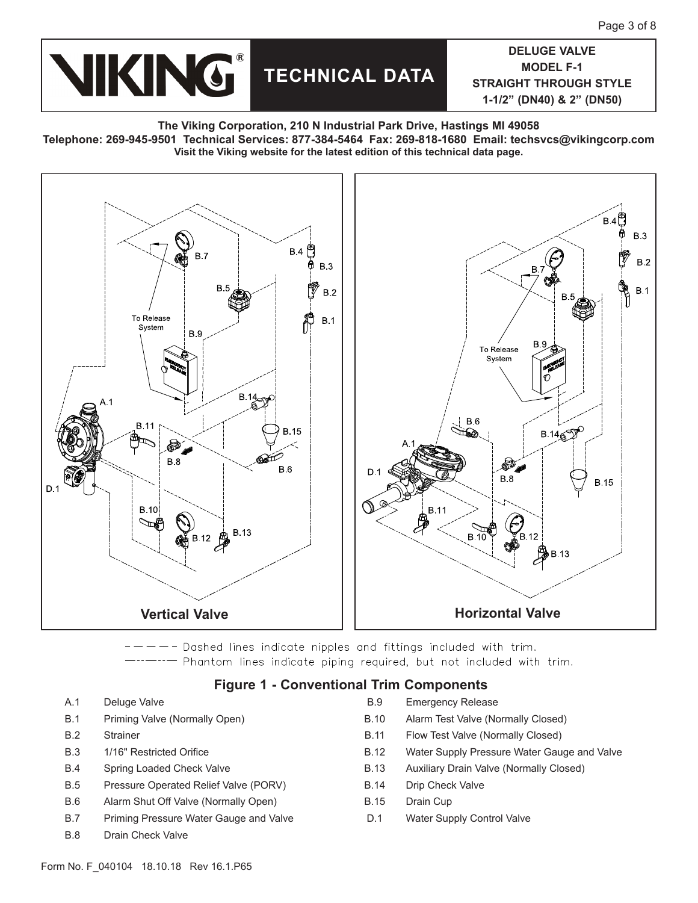

#### **The Viking Corporation, 210 N Industrial Park Drive, Hastings MI 49058**

**Telephone: 269-945-9501 Technical Services: 877-384-5464 Fax: 269-818-1680 Email: techsvcs@vikingcorp.com Visit the Viking website for the latest edition of this technical data page.**



-- Dashed lines indicate nipples and fittings included with trim. - Phantom lines indicate piping required, but not included with trim.

## **Figure 1 - Conventional Trim Components**

- 
- 
- 
- 
- 
- B.5 Pressure Operated Relief Valve (PORV) B.14 Drip Check Valve
- B.6 Alarm Shut Off Valve (Normally Open) B.15 Drain Cup
- B.7 Priming Pressure Water Gauge and Valve D.1 Water Supply Control Valve
- B.8 Drain Check Valve
- A.1 Deluge Valve **B.9** Emergency Release
- B.1 Priming Valve (Normally Open) B.10 Alarm Test Valve (Normally Closed)
- B.2 Strainer B.11 Flow Test Valve (Normally Closed)
- B.3 1/16" Restricted Orifice **B.12** Water Supply Pressure Water Gauge and Valve
- B.4 Spring Loaded Check Valve B.13 Auxiliary Drain Valve (Normally Closed)
	-
	-
	-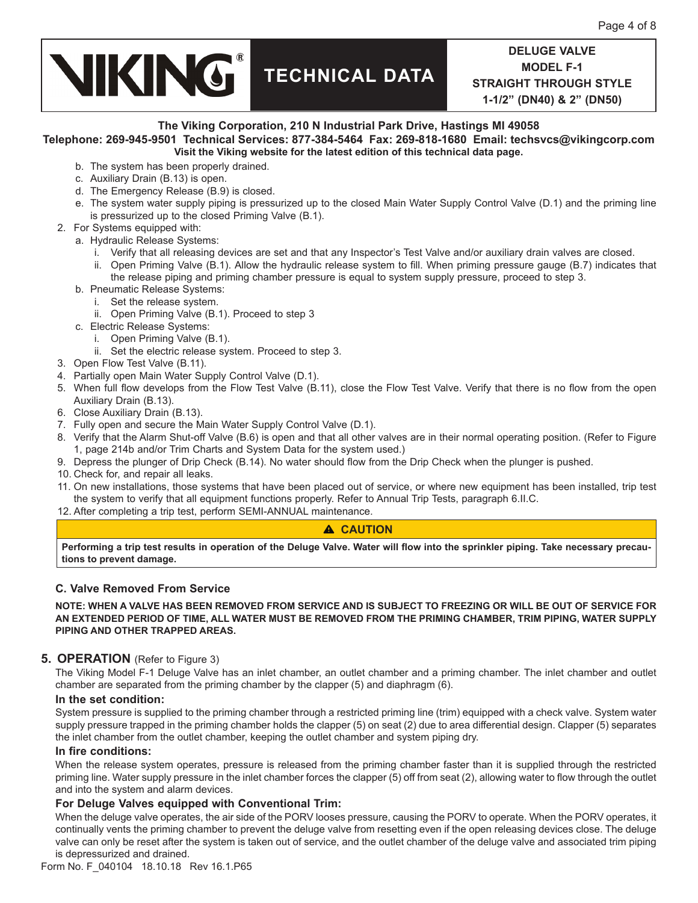## **VIKING® TECHNICAL DATA**

**DELUGE VALVE MODEL F-1 STRAIGHT THROUGH STYLE 1-1/2" (DN40) & 2" (DN50)** 

#### **The Viking Corporation, 210 N Industrial Park Drive, Hastings MI 49058 Telephone: 269-945-9501 Technical Services: 877-384-5464 Fax: 269-818-1680 Email: techsvcs@vikingcorp.com Visit the Viking website for the latest edition of this technical data page.**

- b. The system has been properly drained.
- c. Auxiliary Drain (B.13) is open.
- d. The Emergency Release (B.9) is closed.
- e. The system water supply piping is pressurized up to the closed Main Water Supply Control Valve (D.1) and the priming line is pressurized up to the closed Priming Valve (B.1).
- 2. For Systems equipped with:
	- a. Hydraulic Release Systems:
		- i. Verify that all releasing devices are set and that any Inspector's Test Valve and/or auxiliary drain valves are closed.
		- ii. Open Priming Valve (B.1). Allow the hydraulic release system to fill. When priming pressure gauge (B.7) indicates that the release piping and priming chamber pressure is equal to system supply pressure, proceed to step 3.
	- b. Pneumatic Release Systems:
		- i. Set the release system.
		- ii. Open Priming Valve (B.1). Proceed to step 3
	- c. Electric Release Systems:
		- i. Open Priming Valve (B.1).
		- ii. Set the electric release system. Proceed to step 3.
- 3. Open Flow Test Valve (B.11).
- 4. Partially open Main Water Supply Control Valve (D.1).
- 5. When full flow develops from the Flow Test Valve (B.11), close the Flow Test Valve. Verify that there is no flow from the open Auxiliary Drain (B.13).
- 6. Close Auxiliary Drain (B.13).
- 7. Fully open and secure the Main Water Supply Control Valve (D.1).
- 8. Verify that the Alarm Shut-off Valve (B.6) is open and that all other valves are in their normal operating position. (Refer to Figure 1, page 214b and/or Trim Charts and System Data for the system used.)
- 9. Depress the plunger of Drip Check (B.14). No water should flow from the Drip Check when the plunger is pushed.
- 10. Check for, and repair all leaks.
- 11. On new installations, those systems that have been placed out of service, or where new equipment has been installed, trip test the system to verify that all equipment functions properly. Refer to Annual Trip Tests, paragraph 6.II.C.
- 12. After completing a trip test, perform SEMI-ANNUAL maintenance.

#### **CAUTION**

**Performing a trip test results in operation of the Deluge Valve. Water will flow into the sprinkler piping. Take necessary precautions to prevent damage.** 

#### **C. Valve Removed From Service**

**NOTE: WHEN A VALVE HAS BEEN REMOVED FROM SERVICE AND IS SUBJECT TO FREEZING OR WILL BE OUT OF SERVICE FOR AN EXTENDED PERIOD OF TIME, ALL WATER MUST BE REMOVED FROM THE PRIMING CHAMBER, TRIM PIPING, WATER SUPPLY PIPING AND OTHER TRAPPED AREAS.**

#### **5. OPERATION** (Refer to Figure 3)

The Viking Model F-1 Deluge Valve has an inlet chamber, an outlet chamber and a priming chamber. The inlet chamber and outlet chamber are separated from the priming chamber by the clapper (5) and diaphragm (6).

#### **In the set condition:**

System pressure is supplied to the priming chamber through a restricted priming line (trim) equipped with a check valve. System water supply pressure trapped in the priming chamber holds the clapper (5) on seat (2) due to area differential design. Clapper (5) separates the inlet chamber from the outlet chamber, keeping the outlet chamber and system piping dry.

#### **In fire conditions:**

When the release system operates, pressure is released from the priming chamber faster than it is supplied through the restricted priming line. Water supply pressure in the inlet chamber forces the clapper (5) off from seat (2), allowing water to flow through the outlet and into the system and alarm devices.

#### **For Deluge Valves equipped with Conventional Trim:**

When the deluge valve operates, the air side of the PORV looses pressure, causing the PORV to operate. When the PORV operates, it continually vents the priming chamber to prevent the deluge valve from resetting even if the open releasing devices close. The deluge valve can only be reset after the system is taken out of service, and the outlet chamber of the deluge valve and associated trim piping is depressurized and drained.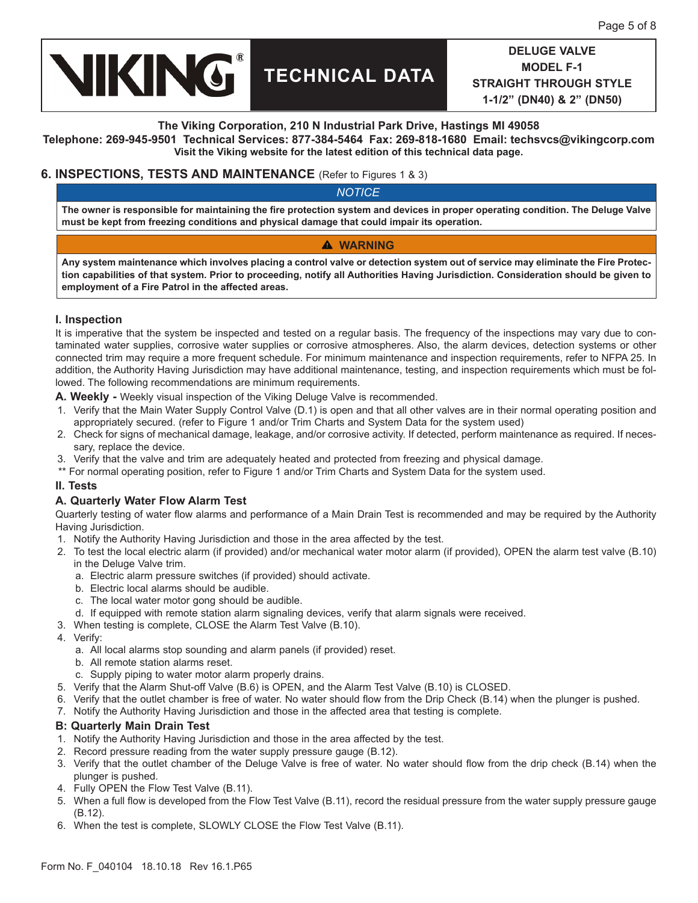

#### **The Viking Corporation, 210 N Industrial Park Drive, Hastings MI 49058**

**Telephone: 269-945-9501 Technical Services: 877-384-5464 Fax: 269-818-1680 Email: techsvcs@vikingcorp.com Visit the Viking website for the latest edition of this technical data page.**

#### **6. INSPECTIONS, TESTS AND MAINTENANCE** (Refer to Figures 1 & 3)

*NOTICE*

**The owner is responsible for maintaining the fire protection system and devices in proper operating condition. The Deluge Valve must be kept from freezing conditions and physical damage that could impair its operation.**

### **WARNING**

**Any system maintenance which involves placing a control valve or detection system out of service may eliminate the Fire Protection capabilities of that system. Prior to proceeding, notify all Authorities Having Jurisdiction. Consideration should be given to employment of a Fire Patrol in the affected areas.**

#### **I. Inspection**

It is imperative that the system be inspected and tested on a regular basis. The frequency of the inspections may vary due to contaminated water supplies, corrosive water supplies or corrosive atmospheres. Also, the alarm devices, detection systems or other connected trim may require a more frequent schedule. For minimum maintenance and inspection requirements, refer to NFPA 25. In addition, the Authority Having Jurisdiction may have additional maintenance, testing, and inspection requirements which must be followed. The following recommendations are minimum requirements.

**A. Weekly -** Weekly visual inspection of the Viking Deluge Valve is recommended.

- 1. Verify that the Main Water Supply Control Valve (D.1) is open and that all other valves are in their normal operating position and appropriately secured. (refer to Figure 1 and/or Trim Charts and System Data for the system used)
- 2. Check for signs of mechanical damage, leakage, and/or corrosive activity. If detected, perform maintenance as required. If necessary, replace the device.
- 3. Verify that the valve and trim are adequately heated and protected from freezing and physical damage.
- \*\* For normal operating position, refer to Figure 1 and/or Trim Charts and System Data for the system used.

#### **II. Tests**

#### **A. Quarterly Water Flow Alarm Test**

Quarterly testing of water flow alarms and performance of a Main Drain Test is recommended and may be required by the Authority Having Jurisdiction.

- 1. Notify the Authority Having Jurisdiction and those in the area affected by the test.
- 2. To test the local electric alarm (if provided) and/or mechanical water motor alarm (if provided), OPEN the alarm test valve (B.10) in the Deluge Valve trim.
	- a. Electric alarm pressure switches (if provided) should activate.
	- b. Electric local alarms should be audible.
	- c. The local water motor gong should be audible.
	- d. If equipped with remote station alarm signaling devices, verify that alarm signals were received.
- 3. When testing is complete, CLOSE the Alarm Test Valve (B.10).
- 4. Verify:
	- a. All local alarms stop sounding and alarm panels (if provided) reset.
	- b. All remote station alarms reset.
	- c. Supply piping to water motor alarm properly drains.
- 5. Verify that the Alarm Shut-off Valve (B.6) is OPEN, and the Alarm Test Valve (B.10) is CLOSED.
- 6. Verify that the outlet chamber is free of water. No water should flow from the Drip Check (B.14) when the plunger is pushed.
- 7. Notify the Authority Having Jurisdiction and those in the affected area that testing is complete.

#### **B: Quarterly Main Drain Test**

- 1. Notify the Authority Having Jurisdiction and those in the area affected by the test.
- 2. Record pressure reading from the water supply pressure gauge (B.12).
- 3. Verify that the outlet chamber of the Deluge Valve is free of water. No water should flow from the drip check (B.14) when the plunger is pushed.
- 4. Fully OPEN the Flow Test Valve (B.11).
- 5. When a full flow is developed from the Flow Test Valve (B.11), record the residual pressure from the water supply pressure gauge (B.12).
- 6. When the test is complete, SLOWLY CLOSE the Flow Test Valve (B.11).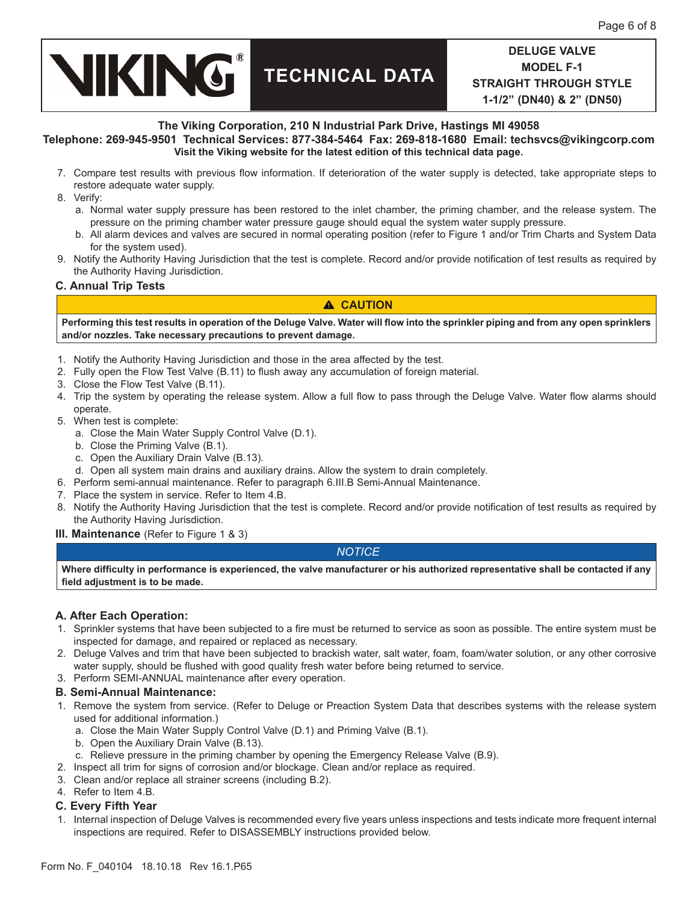

#### **The Viking Corporation, 210 N Industrial Park Drive, Hastings MI 49058**

**Telephone: 269-945-9501 Technical Services: 877-384-5464 Fax: 269-818-1680 Email: techsvcs@vikingcorp.com Visit the Viking website for the latest edition of this technical data page.**

- 7. Compare test results with previous flow information. If deterioration of the water supply is detected, take appropriate steps to restore adequate water supply.
- 8. Verify:
	- a. Normal water supply pressure has been restored to the inlet chamber, the priming chamber, and the release system. The pressure on the priming chamber water pressure gauge should equal the system water supply pressure.
	- b. All alarm devices and valves are secured in normal operating position (refer to Figure 1 and/or Trim Charts and System Data for the system used).
- 9. Notify the Authority Having Jurisdiction that the test is complete. Record and/or provide notification of test results as required by the Authority Having Jurisdiction.

### **C. Annual Trip Tests**

## **CAUTION**

**Performing this test results in operation of the Deluge Valve. Water will flow into the sprinkler piping and from any open sprinklers and/or nozzles. Take necessary precautions to prevent damage.**

- 1. Notify the Authority Having Jurisdiction and those in the area affected by the test.
- 2. Fully open the Flow Test Valve (B.11) to flush away any accumulation of foreign material.
- 3. Close the Flow Test Valve (B.11).
- 4. Trip the system by operating the release system. Allow a full flow to pass through the Deluge Valve. Water flow alarms should operate.
- 5. When test is complete:
	- a. Close the Main Water Supply Control Valve (D.1).
	- b. Close the Priming Valve (B.1).
	- c. Open the Auxiliary Drain Valve (B.13).
	- d. Open all system main drains and auxiliary drains. Allow the system to drain completely.
- 6. Perform semi-annual maintenance. Refer to paragraph 6.III.B Semi-Annual Maintenance.
- 7. Place the system in service. Refer to Item 4.B.
- 8. Notify the Authority Having Jurisdiction that the test is complete. Record and/or provide notification of test results as required by the Authority Having Jurisdiction.
- **III. Maintenance** (Refer to Figure 1 & 3)

## *NOTICE*

**Where difficulty in performance is experienced, the valve manufacturer or his authorized representative shall be contacted if any field adjustment is to be made.**

#### **A. After Each Operation:**

- 1. Sprinkler systems that have been subjected to a fire must be returned to service as soon as possible. The entire system must be inspected for damage, and repaired or replaced as necessary.
- 2. Deluge Valves and trim that have been subjected to brackish water, salt water, foam, foam/water solution, or any other corrosive water supply, should be flushed with good quality fresh water before being returned to service.
- 3. Perform SEMI-ANNUAL maintenance after every operation.

#### **B. Semi-Annual Maintenance:**

- 1. Remove the system from service. (Refer to Deluge or Preaction System Data that describes systems with the release system used for additional information.)
	- a. Close the Main Water Supply Control Valve (D.1) and Priming Valve (B.1).
	- b. Open the Auxiliary Drain Valve (B.13).
	- c. Relieve pressure in the priming chamber by opening the Emergency Release Valve (B.9).
- 2. Inspect all trim for signs of corrosion and/or blockage. Clean and/or replace as required.
- 3. Clean and/or replace all strainer screens (including B.2).
- 4. Refer to Item 4.B.
- **C. Every Fifth Year**
- 1. Internal inspection of Deluge Valves is recommended every five years unless inspections and tests indicate more frequent internal inspections are required. Refer to DISASSEMBLY instructions provided below.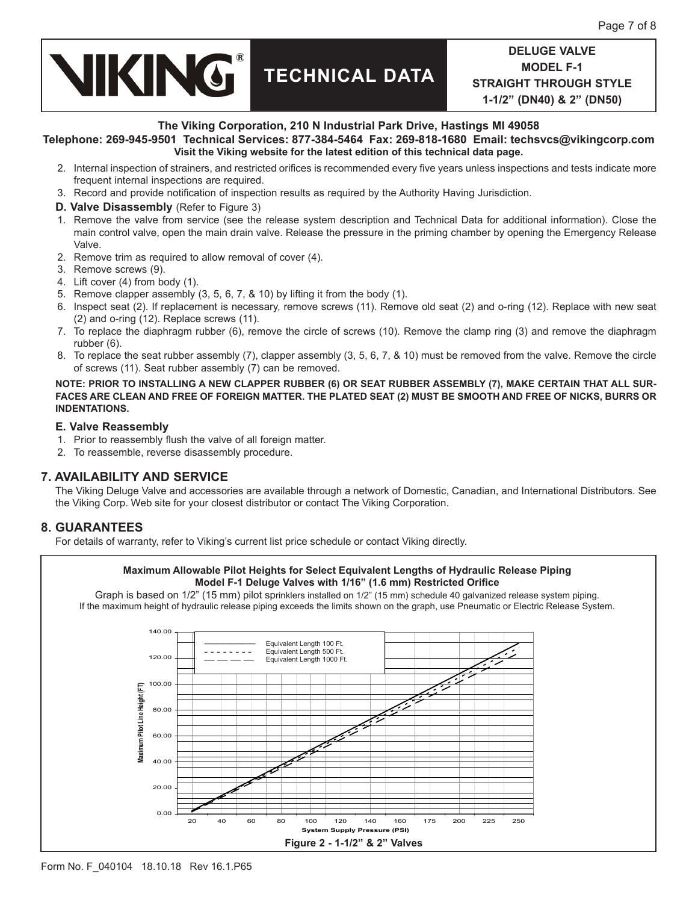**VIKING® TECHNICAL DATA**

**The Viking Corporation, 210 N Industrial Park Drive, Hastings MI 49058**

#### **Telephone: 269-945-9501 Technical Services: 877-384-5464 Fax: 269-818-1680 Email: techsvcs@vikingcorp.com Visit the Viking website for the latest edition of this technical data page.**

- 2. Internal inspection of strainers, and restricted orifices is recommended every five years unless inspections and tests indicate more frequent internal inspections are required.
- 3. Record and provide notification of inspection results as required by the Authority Having Jurisdiction.
- **D. Valve Disassembly** (Refer to Figure 3)
- 1. Remove the valve from service (see the release system description and Technical Data for additional information). Close the main control valve, open the main drain valve. Release the pressure in the priming chamber by opening the Emergency Release Valve.
- 2. Remove trim as required to allow removal of cover (4).
- 3. Remove screws (9).
- 4. Lift cover (4) from body (1).
- 5. Remove clapper assembly (3, 5, 6, 7, & 10) by lifting it from the body (1).
- 6. Inspect seat (2). If replacement is necessary, remove screws (11). Remove old seat (2) and o-ring (12). Replace with new seat (2) and o-ring (12). Replace screws (11).
- 7. To replace the diaphragm rubber (6), remove the circle of screws (10). Remove the clamp ring (3) and remove the diaphragm rubber (6).
- 8. To replace the seat rubber assembly (7), clapper assembly (3, 5, 6, 7, & 10) must be removed from the valve. Remove the circle of screws (11). Seat rubber assembly (7) can be removed.

**NOTE: PRIOR TO INSTALLING A NEW CLAPPER RUBBER (6) OR SEAT RUBBER ASSEMBLY (7), MAKE CERTAIN THAT ALL SUR-FACES ARE CLEAN AND FREE OF FOREIGN MATTER. THE PLATED SEAT (2) MUST BE SMOOTH AND FREE OF NICKS, BURRS OR INDENTATIONS.**

#### **E. Valve Reassembly**

- 1. Prior to reassembly flush the valve of all foreign matter.
- 2. To reassemble, reverse disassembly procedure.

## **7. AVAILABILITY AND SERVICE**

The Viking Deluge Valve and accessories are available through a network of Domestic, Canadian, and International Distributors. See the Viking Corp. Web site for your closest distributor or contact The Viking Corporation.

## **8. GUARANTEES**

For details of warranty, refer to Viking's current list price schedule or contact Viking directly.

#### **Maximum Allowable Pilot Heights for Select Equivalent Lengths of Hydraulic Release Piping Model F-1 Deluge Valves with 1/16" (1.6 mm) Restricted Orifice**

Graph is based on 1/2" (15 mm) pilot sprinklers installed on 1/2" (15 mm) schedule 40 galvanized release system piping. If the maximum height of hydraulic release piping exceeds the limits shown on the graph, use Pneumatic or Electric Release System.